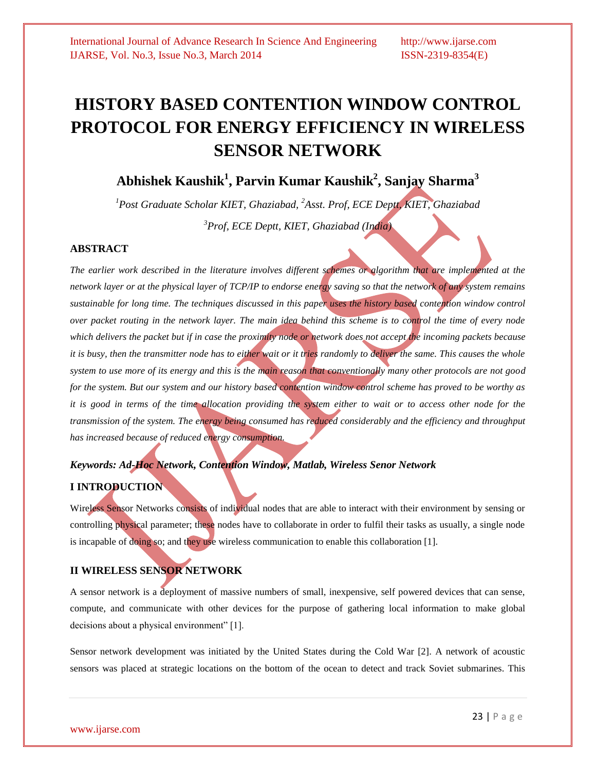# **HISTORY BASED CONTENTION WINDOW CONTROL PROTOCOL FOR ENERGY EFFICIENCY IN WIRELESS SENSOR NETWORK**

## **Abhishek Kaushik<sup>1</sup> , Parvin Kumar Kaushik<sup>2</sup> , Sanjay Sharma<sup>3</sup>**

*<sup>1</sup>Post Graduate Scholar KIET, Ghaziabad, <sup>2</sup>Asst. Prof, ECE Deptt, KIET, Ghaziabad <sup>3</sup>Prof, ECE Deptt, KIET, Ghaziabad (India)*

#### **ABSTRACT**

*The earlier work described in the literature involves different schemes or algorithm that are implemented at the network layer or at the physical layer of TCP/IP to endorse energy saving so that the network of any system remains sustainable for long time. The techniques discussed in this paper uses the history based contention window control over packet routing in the network layer. The main idea behind this scheme is to control the time of every node which delivers the packet but if in case the proximity node or network does not accept the incoming packets because it is busy, then the transmitter node has to either wait or it tries randomly to deliver the same. This causes the whole system to use more of its energy and this is the main reason that conventionally many other protocols are not good for the system. But our system and our history based contention window control scheme has proved to be worthy as it is good in terms of the time allocation providing the system either to wait or to access other node for the transmission of the system. The energy being consumed has reduced considerably and the efficiency and throughput has increased because of reduced energy consumption.* 

#### *Keywords: Ad-Hoc Network, Contention Window, Matlab, Wireless Senor Network*

#### **I INTRODUCTION**

Wireless Sensor Networks consists of individual nodes that are able to interact with their environment by sensing or controlling physical parameter; these nodes have to collaborate in order to fulfil their tasks as usually, a single node is incapable of doing so; and they use wireless communication to enable this collaboration [1].

#### **II WIRELESS SENSOR NETWORK**

A sensor network is a deployment of massive numbers of small, inexpensive, self powered devices that can sense, compute, and communicate with other devices for the purpose of gathering local information to make global decisions about a physical environment" [1].

Sensor network development was initiated by the United States during the Cold War [2]. A network of acoustic sensors was placed at strategic locations on the bottom of the ocean to detect and track Soviet submarines. This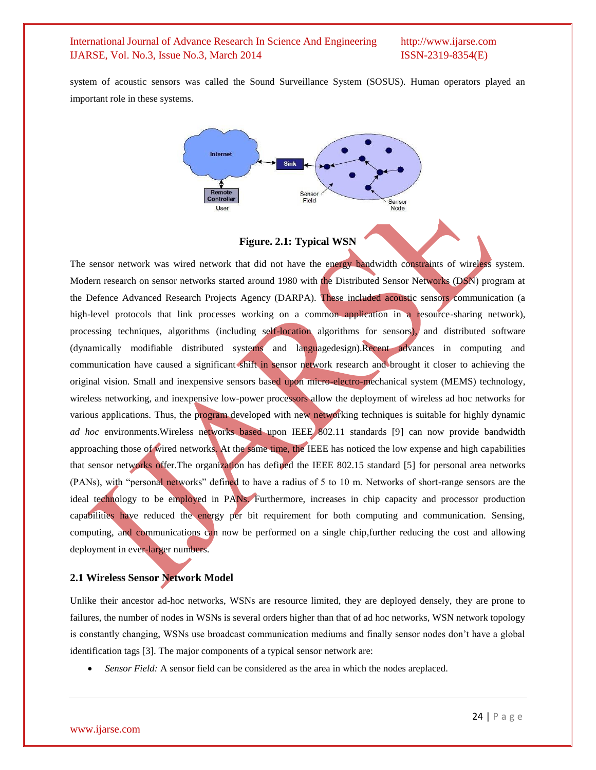system of acoustic sensors was called the Sound Surveillance System (SOSUS). Human operators played an important role in these systems.



#### **Figure. 2.1: Typical WSN**

The sensor network was wired network that did not have the energy bandwidth constraints of wireless system. Modern research on sensor networks started around 1980 with the Distributed Sensor Networks (DSN) program at the Defence Advanced Research Projects Agency (DARPA). These included acoustic sensors communication (a high-level protocols that link processes working on a common application in a resource-sharing network), processing techniques, algorithms (including self-location algorithms for sensors), and distributed software (dynamically modifiable distributed systems and languagedesign).Recent advances in computing and communication have caused a significant shift in sensor network research and brought it closer to achieving the original vision. Small and inexpensive sensors based upon micro-electro-mechanical system (MEMS) technology, wireless networking, and inexpensive low-power processors allow the deployment of wireless ad hoc networks for various applications. Thus, the program developed with new networking techniques is suitable for highly dynamic *ad hoc* environments.Wireless networks based upon IEEE 802.11 standards [9] can now provide bandwidth approaching those of wired networks. At the same time, the IEEE has noticed the low expense and high capabilities that sensor networks offer.The organization has defined the IEEE 802.15 standard [5] for personal area networks (PANs), with "personal networks" defined to have a radius of 5 to 10 m. Networks of short-range sensors are the ideal technology to be employed in PANs. Furthermore, increases in chip capacity and processor production capabilities have reduced the energy per bit requirement for both computing and communication. Sensing, computing, and communications can now be performed on a single chip,further reducing the cost and allowing deployment in ever-larger numbers.

#### **2.1 Wireless Sensor Network Model**

Unlike their ancestor ad-hoc networks, WSNs are resource limited, they are deployed densely, they are prone to failures, the number of nodes in WSNs is several orders higher than that of ad hoc networks, WSN network topology is constantly changing, WSNs use broadcast communication mediums and finally sensor nodes don't have a global identification tags [3]. The major components of a typical sensor network are:

*Sensor Field:* A sensor field can be considered as the area in which the nodes areplaced.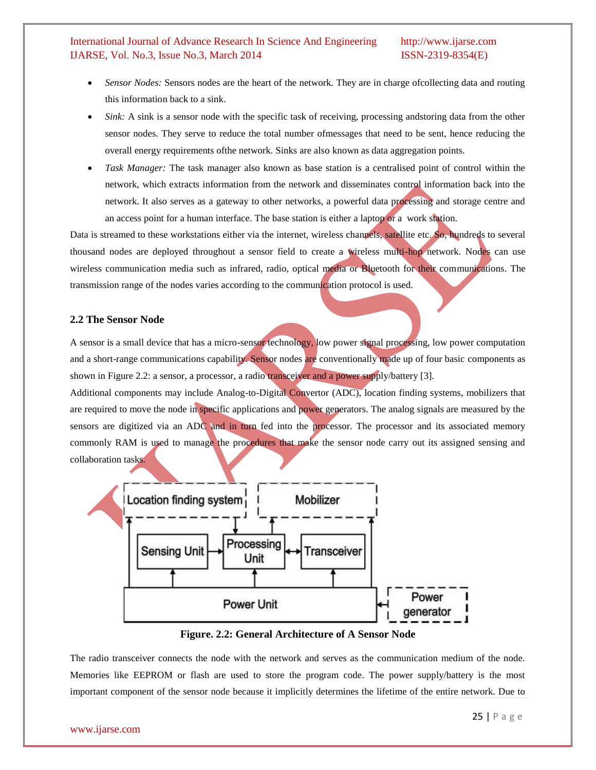- *Sensor Nodes:* Sensors nodes are the heart of the network. They are in charge ofcollecting data and routing this information back to a sink.
- *Sink:* A sink is a sensor node with the specific task of receiving, processing andstoring data from the other sensor nodes. They serve to reduce the total number ofmessages that need to be sent, hence reducing the overall energy requirements ofthe network. Sinks are also known as data aggregation points.
- *Task Manager:* The task manager also known as base station is a centralised point of control within the network, which extracts information from the network and disseminates control information back into the network. It also serves as a gateway to other networks, a powerful data processing and storage centre and an access point for a human interface. The base station is either a laptop or a work station.

Data is streamed to these workstations either via the internet, wireless channels, satellite etc. So, hundreds to several thousand nodes are deployed throughout a sensor field to create a wireless multi-hop network. Nodes can use wireless communication media such as infrared, radio, optical media or Bluetooth for their communications. The transmission range of the nodes varies according to the communication protocol is used.

#### **2.2 The Sensor Node**

A sensor is a small device that has a micro-sensor technology, low power signal processing, low power computation and a short-range communications capability. Sensor nodes are conventionally made up of four basic components as shown in Figure 2.2: a sensor, a processor, a radio transceiver and a power supply/battery [3].

Additional components may include Analog-to-Digital Convertor (ADC), location finding systems, mobilizers that are required to move the node in specific applications and power generators. The analog signals are measured by the sensors are digitized via an ADC and in turn fed into the processor. The processor and its associated memory commonly RAM is used to manage the procedures that make the sensor node carry out its assigned sensing and collaboration tasks.



**Figure. 2.2: General Architecture of A Sensor Node**

The radio transceiver connects the node with the network and serves as the communication medium of the node. Memories like EEPROM or flash are used to store the program code. The power supply/battery is the most important component of the sensor node because it implicitly determines the lifetime of the entire network. Due to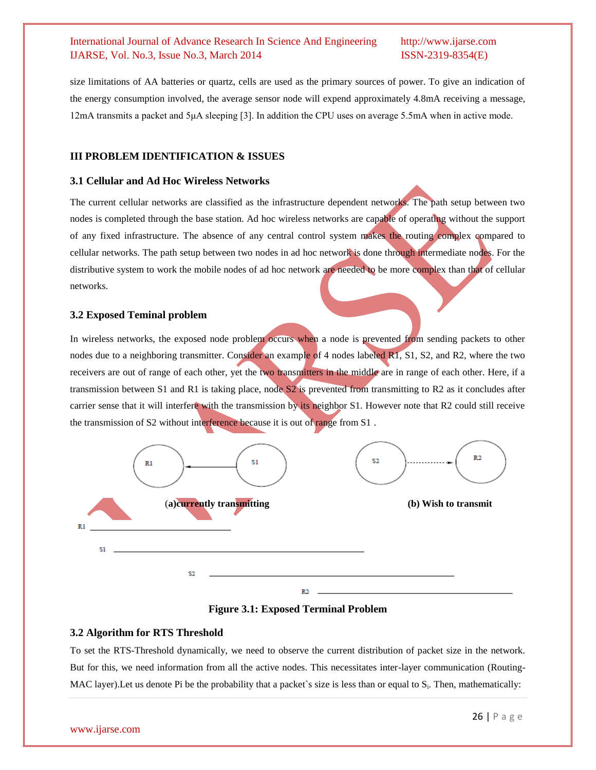size limitations of AA batteries or quartz, cells are used as the primary sources of power. To give an indication of the energy consumption involved, the average sensor node will expend approximately 4.8mA receiving a message, 12mA transmits a packet and 5μA sleeping [3]. In addition the CPU uses on average 5.5mA when in active mode.

#### **III PROBLEM IDENTIFICATION & ISSUES**

#### **3.1 Cellular and Ad Hoc Wireless Networks**

The current cellular networks are classified as the infrastructure dependent networks. The path setup between two nodes is completed through the base station. Ad hoc wireless networks are capable of operating without the support of any fixed infrastructure. The absence of any central control system makes the routing complex compared to cellular networks. The path setup between two nodes in ad hoc network is done through intermediate nodes. For the distributive system to work the mobile nodes of ad hoc network are needed to be more complex than that of cellular networks.

#### **3.2 Exposed Teminal problem**

In wireless networks, the exposed node problem occurs when a node is prevented from sending packets to other nodes due to a neighboring transmitter. Consider an example of 4 nodes labeled R1, S1, S2, and R2, where the two receivers are out of range of each other, yet the two transmitters in the middle are in range of each other. Here, if a transmission between S1 and R1 is taking place, node S2 is prevented from transmitting to R2 as it concludes after carrier sense that it will interfere with the transmission by its neighbor S1. However note that R2 could still receive the transmission of S2 without interference because it is out of range from S1 .



**Figure 3.1: Exposed Terminal Problem**

#### **3.2 Algorithm for RTS Threshold**

To set the RTS-Threshold dynamically, we need to observe the current distribution of packet size in the network. But for this, we need information from all the active nodes. This necessitates inter-layer communication (Routing-MAC layer). Let us denote Pi be the probability that a packet's size is less than or equal to  $S_i$ . Then, mathematically: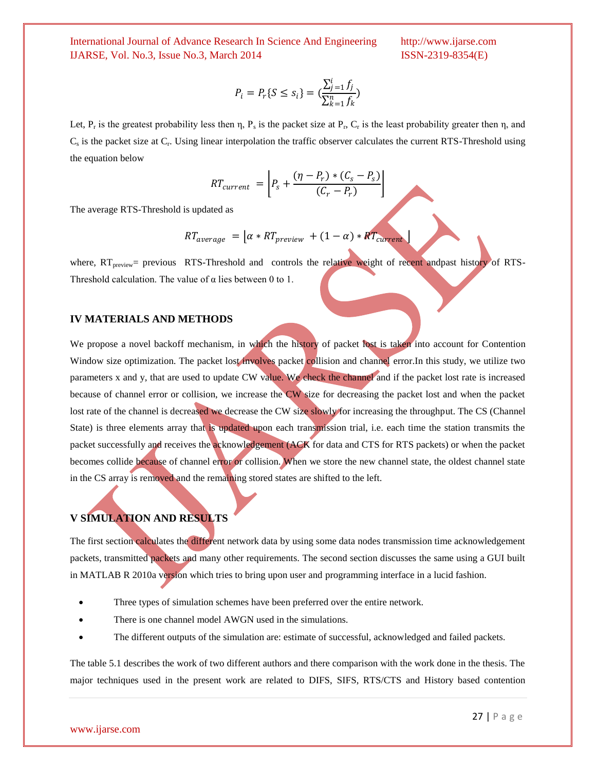$$
P_i = P_r\{S \le s_i\} = \left(\frac{\sum_{j=1}^i f_j}{\sum_{k=1}^n f_k}\right)
$$

Let,  $P_r$  is the greatest probability less then  $\eta$ ,  $P_s$  is the packet size at  $P_r$ ,  $C_r$  is the least probability greater then  $\eta$ , and Cs is the packet size at C<sup>r</sup> . Using linear interpolation the traffic observer calculates the current RTS-Threshold using the equation below

$$
RT_{current} = \left[ P_s + \frac{(\eta - P_r) * (C_s - P_s)}{(C_r - P_r)} \right]
$$

The average RTS-Threshold is updated as

$$
RT_{average} = \left[\alpha * RT_{previous} + (1 - \alpha) * RT_{current}\right]
$$

where,  $RT_{preview}$  previous RTS-Threshold and controls the relative weight of recent andpast history of RTS-Threshold calculation. The value of  $\alpha$  lies between 0 to 1.

#### **IV MATERIALS AND METHODS**

We propose a novel backoff mechanism, in which the history of packet lost is taken into account for Contention Window size optimization. The packet lost involves packet collision and channel error.In this study, we utilize two parameters x and y, that are used to update CW value. We check the channel and if the packet lost rate is increased because of channel error or collision, we increase the CW size for decreasing the packet lost and when the packet lost rate of the channel is decreased we decrease the CW size slowly for increasing the throughput. The CS (Channel State) is three elements array that is updated upon each transmission trial, i.e. each time the station transmits the packet successfully and receives the acknowledgement (ACK for data and CTS for RTS packets) or when the packet becomes collide because of channel error or collision. When we store the new channel state, the oldest channel state in the CS array is removed and the remaining stored states are shifted to the left.

#### **V SIMULATION AND RESULTS**

The first section calculates the different network data by using some data nodes transmission time acknowledgement packets, transmitted packets and many other requirements. The second section discusses the same using a GUI built in MATLAB R 2010a version which tries to bring upon user and programming interface in a lucid fashion.

- Three types of simulation schemes have been preferred over the entire network.
- There is one channel model AWGN used in the simulations.
- The different outputs of the simulation are: estimate of successful, acknowledged and failed packets.

The table 5.1 describes the work of two different authors and there comparison with the work done in the thesis. The major techniques used in the present work are related to DIFS, SIFS, RTS/CTS and History based contention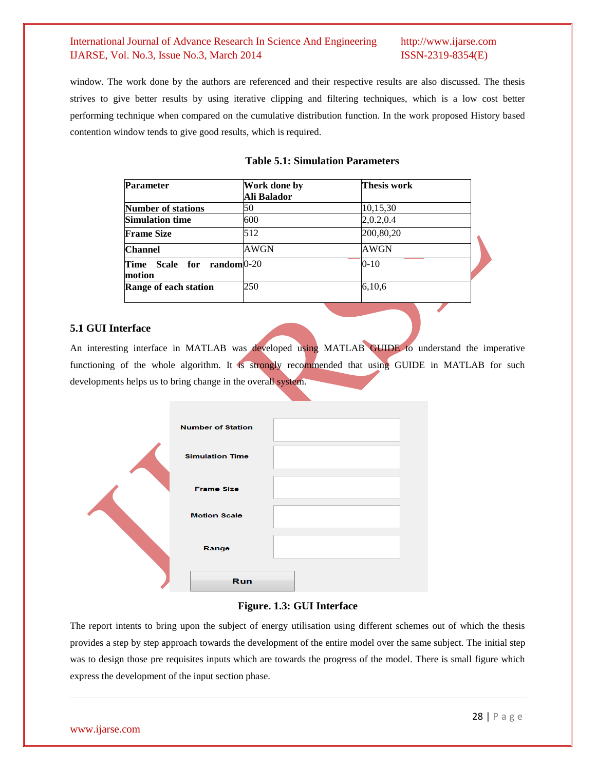window. The work done by the authors are referenced and their respective results are also discussed. The thesis strives to give better results by using iterative clipping and filtering techniques, which is a low cost better performing technique when compared on the cumulative distribution function. In the work proposed History based contention window tends to give good results, which is required.

| <b>Parameter</b>                               | Work done by | Thesis work |
|------------------------------------------------|--------------|-------------|
|                                                | Ali Balador  |             |
| <b>Number of stations</b>                      | 50           | 10,15,30    |
| <b>Simulation time</b>                         | 600          | 2,0.2,0.4   |
| <b>Frame Size</b>                              | 512          | 200,80,20   |
| <b>Channel</b>                                 | AWGN         | AWGN        |
| Scale for random 0-20<br><b>Time</b><br>motion |              | $0-10$      |
| Range of each station                          | 250          | 6,10,6      |

#### **Table 5.1: Simulation Parameters**

#### **5.1 GUI Interface**

An interesting interface in MATLAB was developed using MATLAB GUIDE to understand the imperative functioning of the whole algorithm. It is strongly recommended that using GUIDE in MATLAB for such developments helps us to bring change in the overall system.

|  | <b>Number of Station</b> |  |
|--|--------------------------|--|
|  | <b>Simulation Time</b>   |  |
|  | <b>Frame Size</b>        |  |
|  | <b>Motion Scale</b>      |  |
|  | Range                    |  |
|  | Run                      |  |

#### **Figure. 1.3: GUI Interface**

The report intents to bring upon the subject of energy utilisation using different schemes out of which the thesis provides a step by step approach towards the development of the entire model over the same subject. The initial step was to design those pre requisites inputs which are towards the progress of the model. There is small figure which express the development of the input section phase.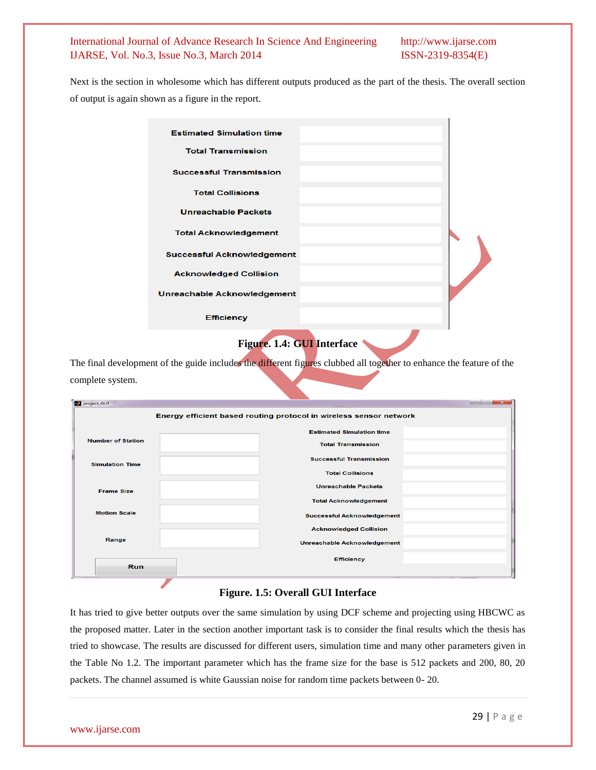Next is the section in wholesome which has different outputs produced as the part of the thesis. The overall section of output is again shown as a figure in the report.

| <b>Estimated Simulation time</b>   |  |
|------------------------------------|--|
| <b>Total Transmission</b>          |  |
| <b>Successful Transmission</b>     |  |
| <b>Total Collisions</b>            |  |
| <b>Unreachable Packets</b>         |  |
| <b>Total Acknowledgement</b>       |  |
| <b>Successful Acknowledgement</b>  |  |
| <b>Acknowledged Collision</b>      |  |
| <b>Unreachable Acknowledgement</b> |  |
| <b>Efficiency</b>                  |  |

### **Figure. 1.4: GUI Interface**

The final development of the guide includes the different figures clubbed all together to enhance the feature of the complete system.

|                                          | Energy efficient based routing protocol in wireless sensor network |
|------------------------------------------|--------------------------------------------------------------------|
|                                          | <b>Estimated Simulation time</b>                                   |
| <b>Number of Station</b>                 | <b>Total Transmission</b>                                          |
| <b>Simulation Time</b>                   | <b>Successful Transmission</b>                                     |
|                                          | <b>Total Collisions</b>                                            |
| <b>Frame Size</b><br><b>Motion Scale</b> | <b>Unreachable Packets</b>                                         |
|                                          | <b>Total Acknowledgement</b>                                       |
|                                          | <b>Successful Acknowledgement</b>                                  |
| Range                                    | <b>Acknowledged Collision</b>                                      |
|                                          | Unreachable Acknowledgement                                        |
|                                          | <b>Efficiency</b>                                                  |
| <b>Run</b>                               |                                                                    |

#### **Figure. 1.5: Overall GUI Interface**

It has tried to give better outputs over the same simulation by using DCF scheme and projecting using HBCWC as the proposed matter. Later in the section another important task is to consider the final results which the thesis has tried to showcase. The results are discussed for different users, simulation time and many other parameters given in the Table No 1.2. The important parameter which has the frame size for the base is 512 packets and 200, 80, 20 packets. The channel assumed is white Gaussian noise for random time packets between 0- 20.